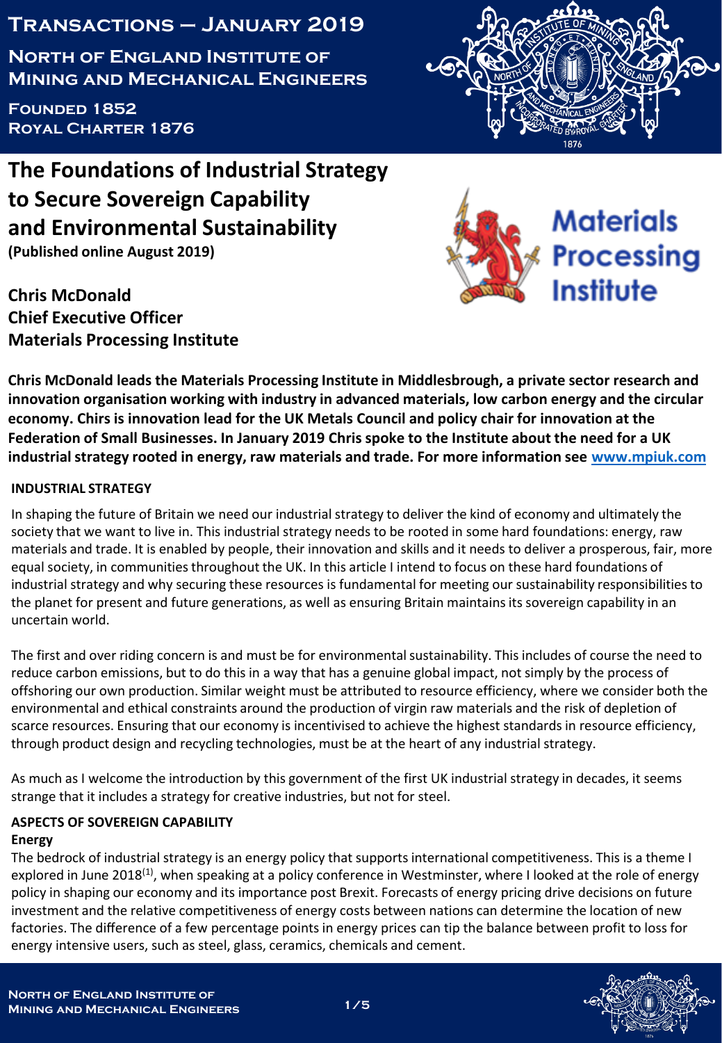# **Transactions – January 2019**

**North of England Institute of Mining and Mechanical Engineers**

**Founded 1852 Royal Charter 1876**



**Chris McDonald Chief Executive Officer Materials Processing Institute**





**Chris McDonald leads the Materials Processing Institute in Middlesbrough, a private sector research and innovation organisation working with industry in advanced materials, low carbon energy and the circular economy. Chirs is innovation lead for the UK Metals Council and policy chair for innovation at the Federation of Small Businesses. In January 2019 Chris spoke to the Institute about the need for a UK industrial strategy rooted in energy, raw materials and trade. For more information see [www.mpiuk.com](http://www.mpiuk.com/)**

## **INDUSTRIAL STRATEGY**

In shaping the future of Britain we need our industrial strategy to deliver the kind of economy and ultimately the society that we want to live in. This industrial strategy needs to be rooted in some hard foundations: energy, raw materials and trade. It is enabled by people, their innovation and skills and it needs to deliver a prosperous, fair, more equal society, in communities throughout the UK. In this article I intend to focus on these hard foundations of industrial strategy and why securing these resources is fundamental for meeting our sustainability responsibilities to the planet for present and future generations, as well as ensuring Britain maintains its sovereign capability in an uncertain world.

The first and over riding concern is and must be for environmental sustainability. This includes of course the need to reduce carbon emissions, but to do this in a way that has a genuine global impact, not simply by the process of offshoring our own production. Similar weight must be attributed to resource efficiency, where we consider both the environmental and ethical constraints around the production of virgin raw materials and the risk of depletion of scarce resources. Ensuring that our economy is incentivised to achieve the highest standards in resource efficiency, through product design and recycling technologies, must be at the heart of any industrial strategy.

As much as I welcome the introduction by this government of the first UK industrial strategy in decades, it seems strange that it includes a strategy for creative industries, but not for steel.

#### **ASPECTS OF SOVEREIGN CAPABILITY Energy**

The bedrock of industrial strategy is an energy policy that supports international competitiveness. This is a theme I explored in June 2018<sup>(1)</sup>, when speaking at a policy conference in Westminster, where I looked at the role of energy policy in shaping our economy and its importance post Brexit. Forecasts of energy pricing drive decisions on future investment and the relative competitiveness of energy costs between nations can determine the location of new factories. The difference of a few percentage points in energy prices can tip the balance between profit to loss for energy intensive users, such as steel, glass, ceramics, chemicals and cement.

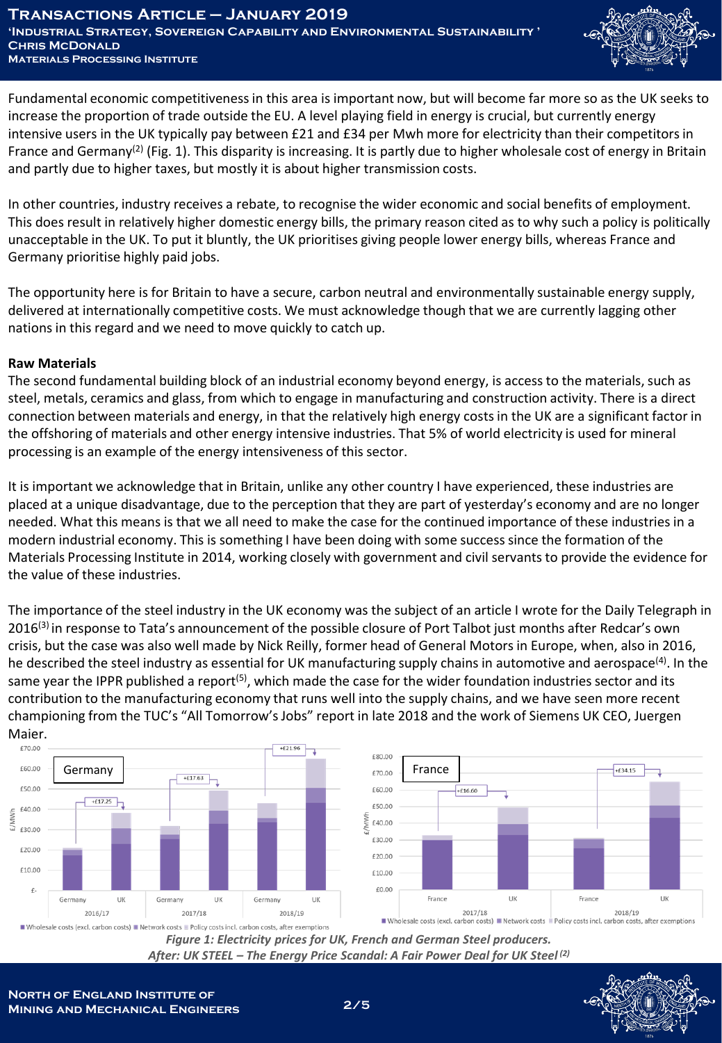

Fundamental economic competitiveness in this area is important now, but will become far more so as the UK seeks to increase the proportion of trade outside the EU. A level playing field in energy is crucial, but currently energy intensive users in the UK typically pay between £21 and £34 per Mwh more for electricity than their competitors in France and Germany<sup>(2)</sup> (Fig. 1). This disparity is increasing. It is partly due to higher wholesale cost of energy in Britain and partly due to higher taxes, but mostly it is about higher transmission costs.

In other countries, industry receives a rebate, to recognise the wider economic and social benefits of employment. This does result in relatively higher domestic energy bills, the primary reason cited as to why such a policy is politically unacceptable in the UK. To put it bluntly, the UK prioritises giving people lower energy bills, whereas France and Germany prioritise highly paid jobs.

The opportunity here is for Britain to have a secure, carbon neutral and environmentally sustainable energy supply, delivered at internationally competitive costs. We must acknowledge though that we are currently lagging other nations in this regard and we need to move quickly to catch up.

#### **Raw Materials**

The second fundamental building block of an industrial economy beyond energy, is access to the materials, such as steel, metals, ceramics and glass, from which to engage in manufacturing and construction activity. There is a direct connection between materials and energy, in that the relatively high energy costs in the UK are a significant factor in the offshoring of materials and other energy intensive industries. That 5% of world electricity is used for mineral processing is an example of the energy intensiveness of this sector.

It is important we acknowledge that in Britain, unlike any other country I have experienced, these industries are placed at a unique disadvantage, due to the perception that they are part of yesterday's economy and are no longer needed. What this means is that we all need to make the case for the continued importance of these industries in a modern industrial economy. This is something I have been doing with some success since the formation of the Materials Processing Institute in 2014, working closely with government and civil servants to provide the evidence for the value of these industries.

The importance of the steel industry in the UK economy was the subject of an article I wrote for the Daily Telegraph in 2016<sup>(3)</sup> in response to Tata's announcement of the possible closure of Port Talbot just months after Redcar's own crisis, but the case was also well made by Nick Reilly, former head of General Motors in Europe, when, also in 2016, he described the steel industry as essential for UK manufacturing supply chains in automotive and aerospace<sup>(4)</sup>. In the same year the IPPR published a report<sup>(5)</sup>, which made the case for the wider foundation industries sector and its contribution to the manufacturing economy that runs well into the supply chains, and we have seen more recent championing from the TUC's "All Tomorrow's Jobs" report in late 2018 and the work of Siemens UK CEO, Juergen **Maier.**<br>مەم





#### *Figure 1: Electricity prices for UK, French and German Steel producers. After: UK STEEL – The Energy Price Scandal: A Fair Power Deal for UK Steel (2)*

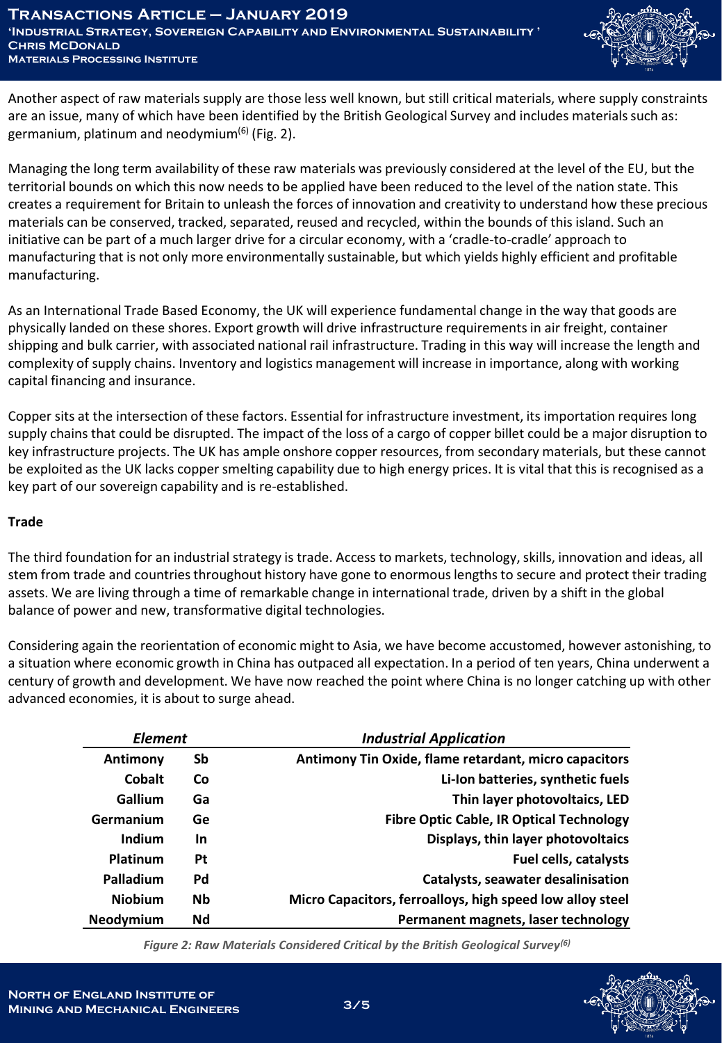

Another aspect of raw materials supply are those less well known, but still critical materials, where supply constraints are an issue, many of which have been identified by the British Geological Survey and includes materials such as: germanium, platinum and neodymium<sup>(6)</sup> (Fig. 2).

Managing the long term availability of these raw materials was previously considered at the level of the EU, but the territorial bounds on which this now needs to be applied have been reduced to the level of the nation state. This creates a requirement for Britain to unleash the forces of innovation and creativity to understand how these precious materials can be conserved, tracked, separated, reused and recycled, within the bounds of this island. Such an initiative can be part of a much larger drive for a circular economy, with a 'cradle-to-cradle' approach to manufacturing that is not only more environmentally sustainable, but which yields highly efficient and profitable manufacturing.

As an International Trade Based Economy, the UK will experience fundamental change in the way that goods are physically landed on these shores. Export growth will drive infrastructure requirements in air freight, container shipping and bulk carrier, with associated national rail infrastructure. Trading in this way will increase the length and complexity of supply chains. Inventory and logistics management will increase in importance, along with working capital financing and insurance.

Copper sits at the intersection of these factors. Essential for infrastructure investment, its importation requires long supply chains that could be disrupted. The impact of the loss of a cargo of copper billet could be a major disruption to key infrastructure projects. The UK has ample onshore copper resources, from secondary materials, but these cannot be exploited as the UK lacks copper smelting capability due to high energy prices. It is vital that this is recognised as a key part of our sovereign capability and is re-established.

### **Trade**

The third foundation for an industrial strategy is trade. Access to markets, technology, skills, innovation and ideas, all stem from trade and countries throughout history have gone to enormous lengths to secure and protect their trading assets. We are living through a time of remarkable change in international trade, driven by a shift in the global balance of power and new, transformative digital technologies.

Considering again the reorientation of economic might to Asia, we have become accustomed, however astonishing, to a situation where economic growth in China has outpaced all expectation. In a period of ten years, China underwent a century of growth and development. We have now reached the point where China is no longer catching up with other advanced economies, it is about to surge ahead.

| <b>Element</b>   |           | <b>Industrial Application</b>                             |
|------------------|-----------|-----------------------------------------------------------|
| Antimony         | Sb        | Antimony Tin Oxide, flame retardant, micro capacitors     |
| Cobalt           | Co        | Li-Ion batteries, synthetic fuels                         |
| Gallium          | Ga        | Thin layer photovoltaics, LED                             |
| Germanium        | Ge        | <b>Fibre Optic Cable, IR Optical Technology</b>           |
| Indium           | <b>In</b> | Displays, thin layer photovoltaics                        |
| Platinum         | Pt        | <b>Fuel cells, catalysts</b>                              |
| Palladium        | Pd        | <b>Catalysts, seawater desalinisation</b>                 |
| <b>Niobium</b>   | <b>Nb</b> | Micro Capacitors, ferroalloys, high speed low alloy steel |
| <b>Neodymium</b> | Nd        | Permanent magnets, laser technology                       |

*Figure 2: Raw Materials Considered Critical by the British Geological Survey(6)*

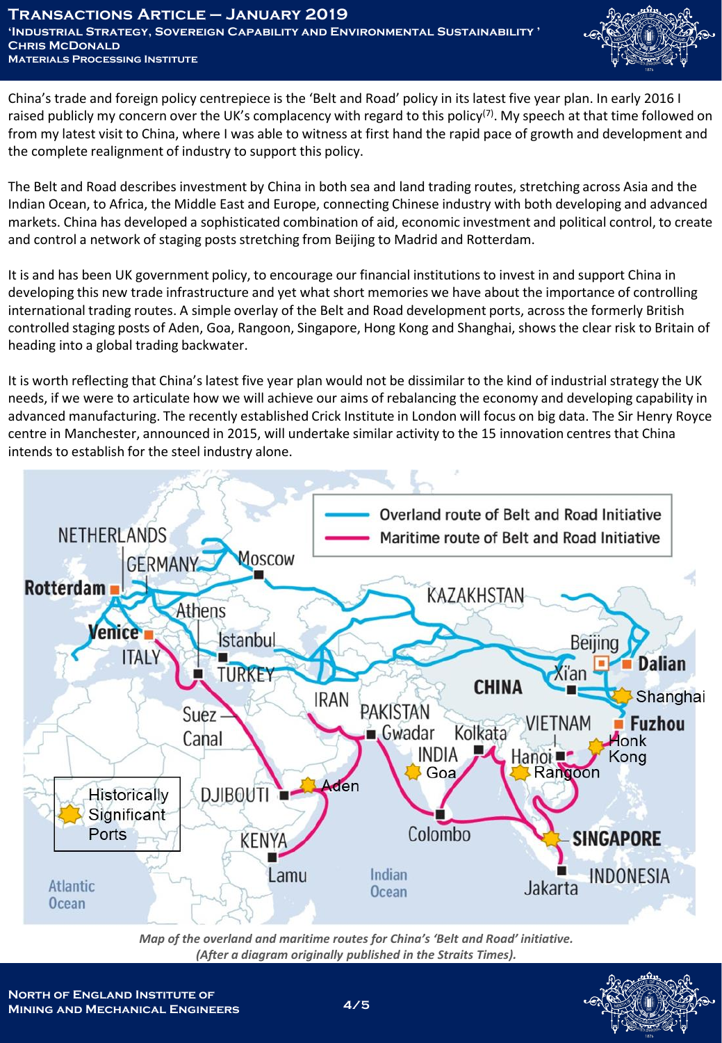

China's trade and foreign policy centrepiece is the 'Belt and Road' policy in its latest five year plan. In early 2016 I raised publicly my concern over the UK's complacency with regard to this policy<sup>(7)</sup>. My speech at that time followed on from my latest visit to China, where I was able to witness at first hand the rapid pace of growth and development and the complete realignment of industry to support this policy.

The Belt and Road describes investment by China in both sea and land trading routes, stretching across Asia and the Indian Ocean, to Africa, the Middle East and Europe, connecting Chinese industry with both developing and advanced markets. China has developed a sophisticated combination of aid, economic investment and political control, to create and control a network of staging posts stretching from Beijing to Madrid and Rotterdam.

It is and has been UK government policy, to encourage our financial institutions to invest in and support China in developing this new trade infrastructure and yet what short memories we have about the importance of controlling international trading routes. A simple overlay of the Belt and Road development ports, across the formerly British controlled staging posts of Aden, Goa, Rangoon, Singapore, Hong Kong and Shanghai, shows the clear risk to Britain of heading into a global trading backwater.

It is worth reflecting that China's latest five year plan would not be dissimilar to the kind of industrial strategy the UK needs, if we were to articulate how we will achieve our aims of rebalancing the economy and developing capability in advanced manufacturing. The recently established Crick Institute in London will focus on big data. The Sir Henry Royce centre in Manchester, announced in 2015, will undertake similar activity to the 15 innovation centres that China intends to establish for the steel industry alone.



*Map of the overland and maritime routes for China's 'Belt and Road' initiative. (After a diagram originally published in the Straits Times).*